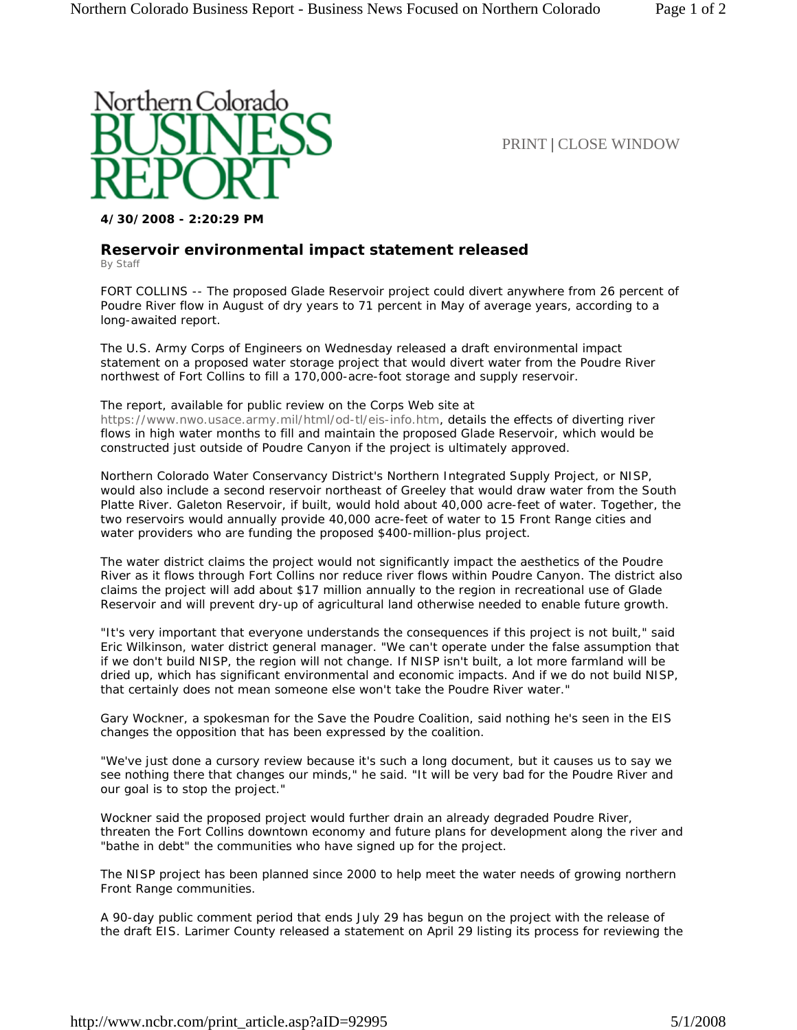

PRINT | CLOSE WINDOW

**4/30/2008 - 2:20:29 PM**

## **Reservoir environmental impact statement released**

By Staff

FORT COLLINS -- The proposed Glade Reservoir project could divert anywhere from 26 percent of Poudre River flow in August of dry years to 71 percent in May of average years, according to a long-awaited report.

The U.S. Army Corps of Engineers on Wednesday released a draft environmental impact statement on a proposed water storage project that would divert water from the Poudre River northwest of Fort Collins to fill a 170,000-acre-foot storage and supply reservoir.

## The report, available for public review on the Corps Web site at

https://www.nwo.usace.army.mil/html/od-tl/eis-info.htm, details the effects of diverting river flows in high water months to fill and maintain the proposed Glade Reservoir, which would be constructed just outside of Poudre Canyon if the project is ultimately approved.

Northern Colorado Water Conservancy District's Northern Integrated Supply Project, or NISP, would also include a second reservoir northeast of Greeley that would draw water from the South Platte River. Galeton Reservoir, if built, would hold about 40,000 acre-feet of water. Together, the two reservoirs would annually provide 40,000 acre-feet of water to 15 Front Range cities and water providers who are funding the proposed \$400-million-plus project.

The water district claims the project would not significantly impact the aesthetics of the Poudre River as it flows through Fort Collins nor reduce river flows within Poudre Canyon. The district also claims the project will add about \$17 million annually to the region in recreational use of Glade Reservoir and will prevent dry-up of agricultural land otherwise needed to enable future growth.

"It's very important that everyone understands the consequences if this project is not built," said Eric Wilkinson, water district general manager. "We can't operate under the false assumption that if we don't build NISP, the region will not change. If NISP isn't built, a lot more farmland will be dried up, which has significant environmental and economic impacts. And if we do not build NISP, that certainly does not mean someone else won't take the Poudre River water."

Gary Wockner, a spokesman for the Save the Poudre Coalition, said nothing he's seen in the EIS changes the opposition that has been expressed by the coalition.

"We've just done a cursory review because it's such a long document, but it causes us to say we see nothing there that changes our minds," he said. "It will be very bad for the Poudre River and our goal is to stop the project."

Wockner said the proposed project would further drain an already degraded Poudre River, threaten the Fort Collins downtown economy and future plans for development along the river and "bathe in debt" the communities who have signed up for the project.

The NISP project has been planned since 2000 to help meet the water needs of growing northern Front Range communities.

A 90-day public comment period that ends July 29 has begun on the project with the release of the draft EIS. Larimer County released a statement on April 29 listing its process for reviewing the